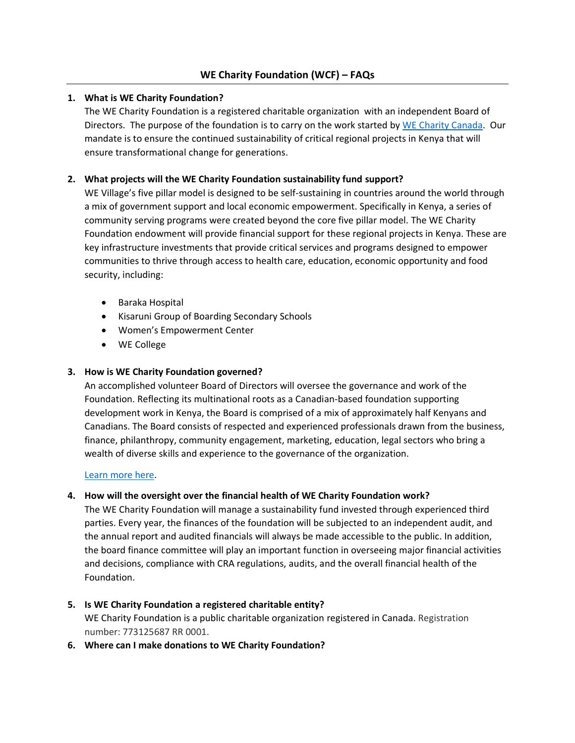# **WE Charity Foundation (WCF) – FAQs**

### **1. What is WE Charity Foundation?**

The WE Charity Foundation is a registered charitable organization with an independent Board of Directors. The purpose of the foundation is to carry on the work started b[y WE Charity Canada.](https://www.wecharity.org/about-we-charity/) Our mandate is to ensure the continued sustainability of critical regional projects in Kenya that will ensure transformational change for generations.

### **2. What projects will the WE Charity Foundation sustainability fund support?**

WE Village's five pillar model is designed to be self-sustaining in countries around the world through a mix of government support and local economic empowerment. Specifically in Kenya, a series of community serving programs were created beyond the core five pillar model. The WE Charity Foundation endowment will provide financial support for these regional projects in Kenya. These are key infrastructure investments that provide critical services and programs designed to empower communities to thrive through access to health care, education, economic opportunity and food security, including:

- Baraka Hospital
- Kisaruni Group of Boarding Secondary Schools
- Women's Empowerment Center
- WE College

### **3. How is WE Charity Foundation governed?**

An accomplished volunteer Board of Directors will oversee the governance and work of the Foundation. Reflecting its multinational roots as a Canadian-based foundation supporting development work in Kenya, the Board is comprised of a mix of approximately half Kenyans and Canadians. The Board consists of respected and experienced professionals drawn from the business, finance, philanthropy, community engagement, marketing, education, legal sectors who bring a wealth of diverse skills and experience to the governance of the organization.

#### [Learn more here.](https://www.wecharity.org/about-we-charity/financials-and-governance/)

#### **4. How will the oversight over the financial health of WE Charity Foundation work?**

The WE Charity Foundation will manage a sustainability fund invested through experienced third parties. Every year, the finances of the foundation will be subjected to an independent audit, and the annual report and audited financials will always be made accessible to the public. In addition, the board finance committee will play an important function in overseeing major financial activities and decisions, compliance with CRA regulations, audits, and the overall financial health of the Foundation.

- **5. Is WE Charity Foundation a registered charitable entity?**  WE Charity Foundation is a public charitable organization registered in Canada. Registration number: 773125687 RR 0001.
- **6. Where can I make donations to WE Charity Foundation?**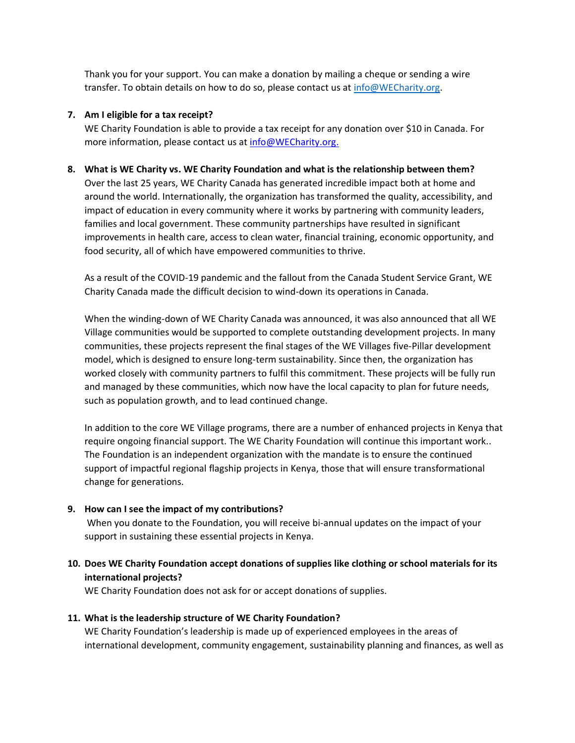Thank you for your support. You can make a donation by mailing a cheque or sending a wire transfer. To obtain details on how to do so, please contact us a[t info@WECharity.org.](mailto:info@WECharity.org)

### **7. Am I eligible for a tax receipt?**

WE Charity Foundation is able to provide a tax receipt for any donation over \$10 in Canada. For more information, please contact us at [info@WECharity.org.](mailto:info@WECharity.org)

#### **8. What is WE Charity vs. WE Charity Foundation and what is the relationship between them?**

Over the last 25 years, WE Charity Canada has generated incredible impact both at home and around the world. Internationally, the organization has transformed the quality, accessibility, and impact of education in every community where it works by partnering with community leaders, families and local government. These community partnerships have resulted in significant improvements in health care, access to clean water, financial training, economic opportunity, and food security, all of which have empowered communities to thrive.

As a result of the COVID-19 pandemic and the fallout from the Canada Student Service Grant, WE Charity Canada made the difficult decision to wind-down its operations in Canada.

When the winding-down of WE Charity Canada was announced, it was also announced that all WE Village communities would be supported to complete outstanding development projects. In many communities, these projects represent the final stages of the WE Villages five-Pillar development model, which is designed to ensure long-term sustainability. Since then, the organization has worked closely with community partners to fulfil this commitment. These projects will be fully run and managed by these communities, which now have the local capacity to plan for future needs, such as population growth, and to lead continued change.

In addition to the core WE Village programs, there are a number of enhanced projects in Kenya that require ongoing financial support. The WE Charity Foundation will continue this important work.. The Foundation is an independent organization with the mandate is to ensure the continued support of impactful regional flagship projects in Kenya, those that will ensure transformational change for generations.

# **9. How can I see the impact of my contributions?**

When you donate to the Foundation, you will receive bi-annual updates on the impact of your support in sustaining these essential projects in Kenya.

# **10. Does WE Charity Foundation accept donations of supplies like clothing or school materials for its international projects?**

WE Charity Foundation does not ask for or accept donations of supplies.

#### **11. What is the leadership structure of WE Charity Foundation?**

WE Charity Foundation's leadership is made up of experienced employees in the areas of international development, community engagement, sustainability planning and finances, as well as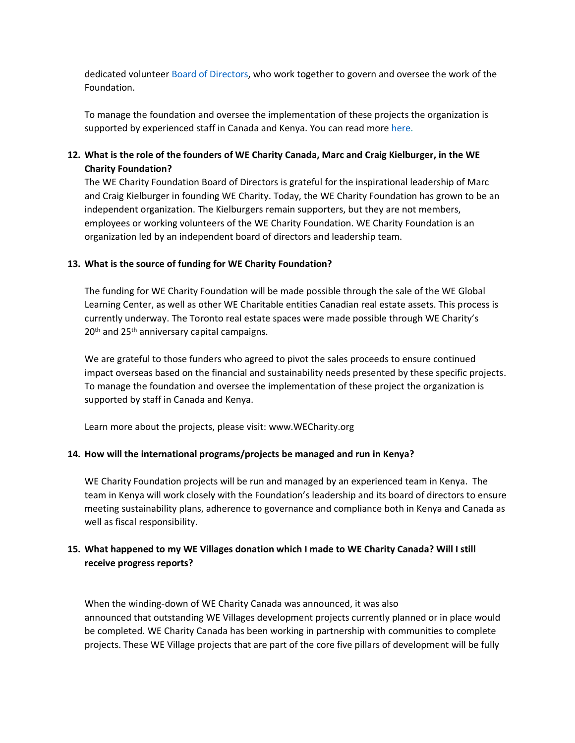dedicated voluntee[r Board of Directors,](https://www.wecharity.org/about-we-charity/financials-and-governance/) who work together to govern and oversee the work of the Foundation.

To manage the foundation and oversee the implementation of these projects the organization is supported by experienced staff in Canada and Kenya. You can read more [here.](https://www.wecharity.org/about-we-charity/financials-and-governance/)

# **12. What is the role of the founders of WE Charity Canada, Marc and Craig Kielburger, in the WE Charity Foundation?**

The WE Charity Foundation Board of Directors is grateful for the inspirational leadership of Marc and Craig Kielburger in founding WE Charity. Today, the WE Charity Foundation has grown to be an independent organization. The Kielburgers remain supporters, but they are not members, employees or working volunteers of the WE Charity Foundation. WE Charity Foundation is an organization led by an independent board of directors and leadership team.

### **13. What is the source of funding for WE Charity Foundation?**

The funding for WE Charity Foundation will be made possible through the sale of the WE Global Learning Center, as well as other WE Charitable entities Canadian real estate assets. This process is currently underway. The Toronto real estate spaces were made possible through WE Charity's  $20<sup>th</sup>$  and  $25<sup>th</sup>$  anniversary capital campaigns.

We are grateful to those funders who agreed to pivot the sales proceeds to ensure continued impact overseas based on the financial and sustainability needs presented by these specific projects. To manage the foundation and oversee the implementation of these project the organization is supported by staff in Canada and Kenya.

Learn more about the projects, please visit: [www.WECharity.org](http://www.wecharity.org/)

# **14. How will the international programs/projects be managed and run in Kenya?**

WE Charity Foundation projects will be run and managed by an experienced team in Kenya. The team in Kenya will work closely with the Foundation's leadership and its board of directors to ensure meeting sustainability plans, adherence to governance and compliance both in Kenya and Canada as well as fiscal responsibility.

# **15. What happened to my WE Villages donation which I made to WE Charity Canada? Will I still receive progress reports?**

When the winding-down of WE Charity Canada was announced, it was also announced that outstanding WE Villages development projects currently planned or in place would be completed. WE Charity Canada has been working in partnership with communities to complete projects. These WE Village projects that are part of the core five pillars of development will be fully